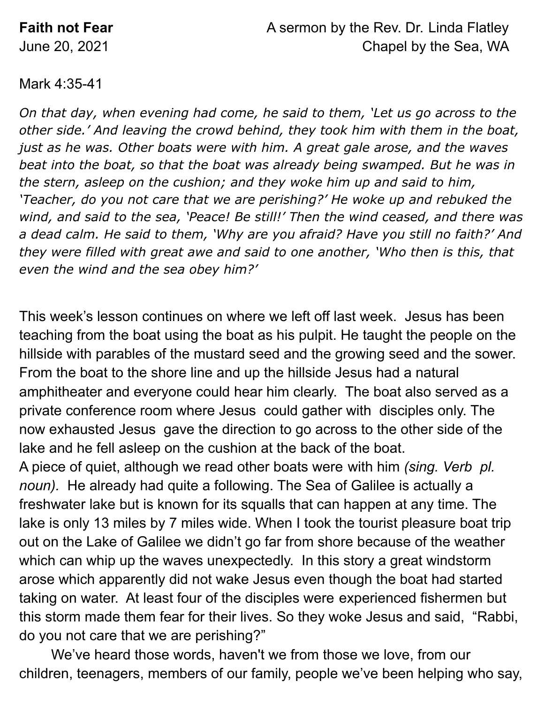## Mark 4:35-41

*On that day, when evening had come, he said to them, 'Let us go across to the other side.' And leaving the crowd behind, they took him with them in the boat, just as he was. Other boats were with him. A great gale arose, and the waves beat into the boat, so that the boat was already being swamped. But he was in the stern, asleep on the cushion; and they woke him up and said to him, 'Teacher, do you not care that we are perishing?' He woke up and rebuked the wind, and said to the sea, 'Peace! Be still!' Then the wind ceased, and there was a dead calm. He said to them, 'Why are you afraid? Have you still no faith?' And they were filled with great awe and said to one another, 'Who then is this, that even the wind and the sea obey him?'*

This week's lesson continues on where we left off last week. Jesus has been teaching from the boat using the boat as his pulpit. He taught the people on the hillside with parables of the mustard seed and the growing seed and the sower. From the boat to the shore line and up the hillside Jesus had a natural amphitheater and everyone could hear him clearly. The boat also served as a private conference room where Jesus could gather with disciples only. The now exhausted Jesus gave the direction to go across to the other side of the lake and he fell asleep on the cushion at the back of the boat.

A piece of quiet, although we read other boats were with him *(sing. Verb pl. noun).* He already had quite a following. The Sea of Galilee is actually a freshwater lake but is known for its squalls that can happen at any time. The lake is only 13 miles by 7 miles wide. When I took the tourist pleasure boat trip out on the Lake of Galilee we didn't go far from shore because of the weather which can whip up the waves unexpectedly. In this story a great windstorm arose which apparently did not wake Jesus even though the boat had started taking on water. At least four of the disciples were experienced fishermen but this storm made them fear for their lives. So they woke Jesus and said, "Rabbi, do you not care that we are perishing?"

We've heard those words, haven't we from those we love, from our children, teenagers, members of our family, people we've been helping who say,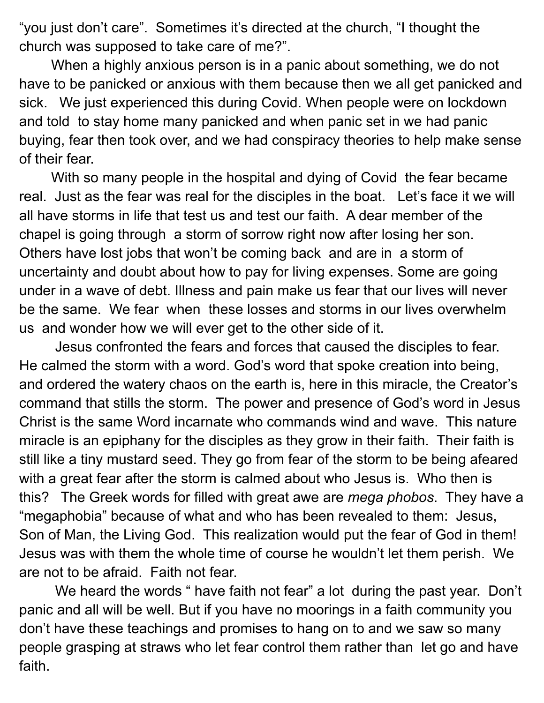"you just don't care". Sometimes it's directed at the church, "I thought the church was supposed to take care of me?".

When a highly anxious person is in a panic about something, we do not have to be panicked or anxious with them because then we all get panicked and sick. We just experienced this during Covid. When people were on lockdown and told to stay home many panicked and when panic set in we had panic buying, fear then took over, and we had conspiracy theories to help make sense of their fear.

With so many people in the hospital and dying of Covid the fear became real. Just as the fear was real for the disciples in the boat. Let's face it we will all have storms in life that test us and test our faith. A dear member of the chapel is going through a storm of sorrow right now after losing her son. Others have lost jobs that won't be coming back and are in a storm of uncertainty and doubt about how to pay for living expenses. Some are going under in a wave of debt. Illness and pain make us fear that our lives will never be the same. We fear when these losses and storms in our lives overwhelm us and wonder how we will ever get to the other side of it.

Jesus confronted the fears and forces that caused the disciples to fear. He calmed the storm with a word. God's word that spoke creation into being, and ordered the watery chaos on the earth is, here in this miracle, the Creator's command that stills the storm. The power and presence of God's word in Jesus Christ is the same Word incarnate who commands wind and wave. This nature miracle is an epiphany for the disciples as they grow in their faith. Their faith is still like a tiny mustard seed. They go from fear of the storm to be being afeared with a great fear after the storm is calmed about who Jesus is. Who then is this? The Greek words for filled with great awe are *mega phobos*. They have a "megaphobia" because of what and who has been revealed to them: Jesus, Son of Man, the Living God. This realization would put the fear of God in them! Jesus was with them the whole time of course he wouldn't let them perish. We are not to be afraid. Faith not fear.

We heard the words " have faith not fear" a lot during the past year. Don't panic and all will be well. But if you have no moorings in a faith community you don't have these teachings and promises to hang on to and we saw so many people grasping at straws who let fear control them rather than let go and have faith.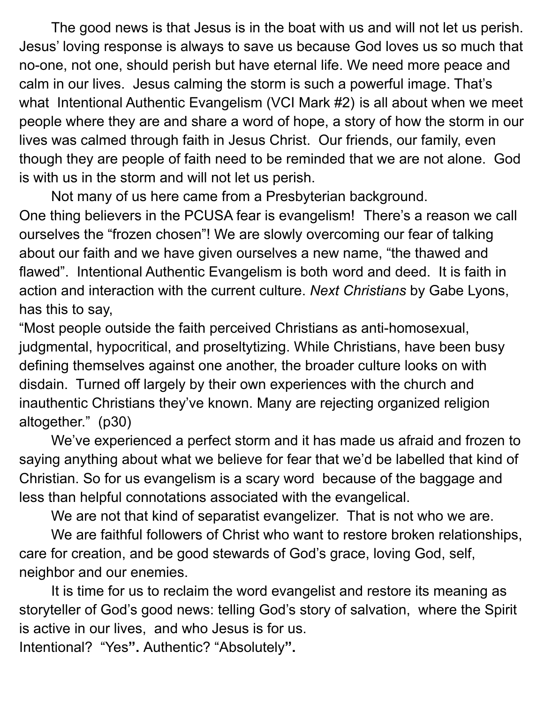The good news is that Jesus is in the boat with us and will not let us perish. Jesus' loving response is always to save us because God loves us so much that no-one, not one, should perish but have eternal life. We need more peace and calm in our lives. Jesus calming the storm is such a powerful image. That's what Intentional Authentic Evangelism (VCI Mark #2) is all about when we meet people where they are and share a word of hope, a story of how the storm in our lives was calmed through faith in Jesus Christ. Our friends, our family, even though they are people of faith need to be reminded that we are not alone. God is with us in the storm and will not let us perish.

Not many of us here came from a Presbyterian background. One thing believers in the PCUSA fear is evangelism! There's a reason we call ourselves the "frozen chosen"! We are slowly overcoming our fear of talking about our faith and we have given ourselves a new name, "the thawed and flawed". Intentional Authentic Evangelism is both word and deed. It is faith in action and interaction with the current culture. *Next Christians* by Gabe Lyons, has this to say,

"Most people outside the faith perceived Christians as anti-homosexual, judgmental, hypocritical, and proseltytizing. While Christians, have been busy defining themselves against one another, the broader culture looks on with disdain. Turned off largely by their own experiences with the church and inauthentic Christians they've known. Many are rejecting organized religion altogether." (p30)

We've experienced a perfect storm and it has made us afraid and frozen to saying anything about what we believe for fear that we'd be labelled that kind of Christian. So for us evangelism is a scary word because of the baggage and less than helpful connotations associated with the evangelical.

We are not that kind of separatist evangelizer. That is not who we are.

We are faithful followers of Christ who want to restore broken relationships, care for creation, and be good stewards of God's grace, loving God, self, neighbor and our enemies.

It is time for us to reclaim the word evangelist and restore its meaning as storyteller of God's good news: telling God's story of salvation, where the Spirit is active in our lives, and who Jesus is for us.

Intentional? "Yes**".** Authentic? "Absolutely**".**